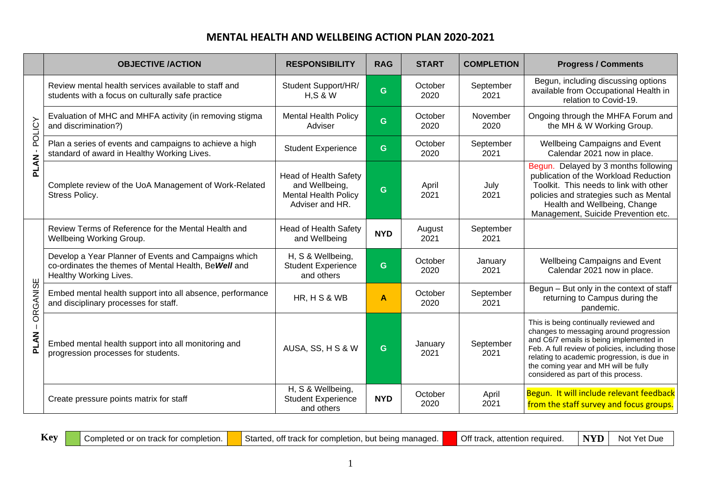|                  | <b>OBJECTIVE /ACTION</b>                                                                                                                | <b>RESPONSIBILITY</b>                                                                            | <b>RAG</b> | <b>START</b>    | <b>COMPLETION</b> | <b>Progress / Comments</b>                                                                                                                                                                                                                                                                                    |  |
|------------------|-----------------------------------------------------------------------------------------------------------------------------------------|--------------------------------------------------------------------------------------------------|------------|-----------------|-------------------|---------------------------------------------------------------------------------------------------------------------------------------------------------------------------------------------------------------------------------------------------------------------------------------------------------------|--|
|                  | Review mental health services available to staff and<br>students with a focus on culturally safe practice                               | Student Support/HR/<br>H, S & W                                                                  | G          | October<br>2020 | September<br>2021 | Begun, including discussing options<br>available from Occupational Health in<br>relation to Covid-19.                                                                                                                                                                                                         |  |
| - POLICY         | Evaluation of MHC and MHFA activity (in removing stigma<br>and discrimination?)                                                         | <b>Mental Health Policy</b><br>Adviser                                                           | G.         | October<br>2020 | November<br>2020  | Ongoing through the MHFA Forum and<br>the MH & W Working Group.                                                                                                                                                                                                                                               |  |
|                  | Plan a series of events and campaigns to achieve a high<br>standard of award in Healthy Working Lives.                                  | <b>Student Experience</b>                                                                        | G          | October<br>2020 | September<br>2021 | Wellbeing Campaigns and Event<br>Calendar 2021 now in place.                                                                                                                                                                                                                                                  |  |
| PLAN             | Complete review of the UoA Management of Work-Related<br>Stress Policy.                                                                 | <b>Head of Health Safety</b><br>and Wellbeing,<br><b>Mental Health Policy</b><br>Adviser and HR. | G          | April<br>2021   | July<br>2021      | Begun. Delayed by 3 months following<br>publication of the Workload Reduction<br>Toolkit. This needs to link with other<br>policies and strategies such as Mental<br>Health and Wellbeing, Change<br>Management, Suicide Prevention etc.                                                                      |  |
| ORGANISE<br>PLAN | Review Terms of Reference for the Mental Health and<br>Wellbeing Working Group.                                                         | <b>Head of Health Safety</b><br>and Wellbeing                                                    | <b>NYD</b> | August<br>2021  | September<br>2021 |                                                                                                                                                                                                                                                                                                               |  |
|                  | Develop a Year Planner of Events and Campaigns which<br>co-ordinates the themes of Mental Health, Be Well and<br>Healthy Working Lives. | H, S & Wellbeing,<br><b>Student Experience</b><br>and others                                     | G          | October<br>2020 | January<br>2021   | <b>Wellbeing Campaigns and Event</b><br>Calendar 2021 now in place.                                                                                                                                                                                                                                           |  |
|                  | Embed mental health support into all absence, performance<br>and disciplinary processes for staff.                                      | HR, H S & WB                                                                                     | A          | October<br>2020 | September<br>2021 | Begun - But only in the context of staff<br>returning to Campus during the<br>pandemic.                                                                                                                                                                                                                       |  |
|                  | Embed mental health support into all monitoring and<br>progression processes for students.                                              | AUSA, SS, H S & W                                                                                | G          | January<br>2021 | September<br>2021 | This is being continually reviewed and<br>changes to messaging around progression<br>and C6/7 emails is being implemented in<br>Feb. A full review of policies, including those<br>relating to academic progression, is due in<br>the coming year and MH will be fully<br>considered as part of this process. |  |
|                  | Create pressure points matrix for staff                                                                                                 | H, S & Wellbeing,<br><b>Student Experience</b><br>and others                                     | <b>NYD</b> | October<br>2020 | April<br>2021     | Begun. It will include relevant feedback<br>from the staff survey and focus groups.                                                                                                                                                                                                                           |  |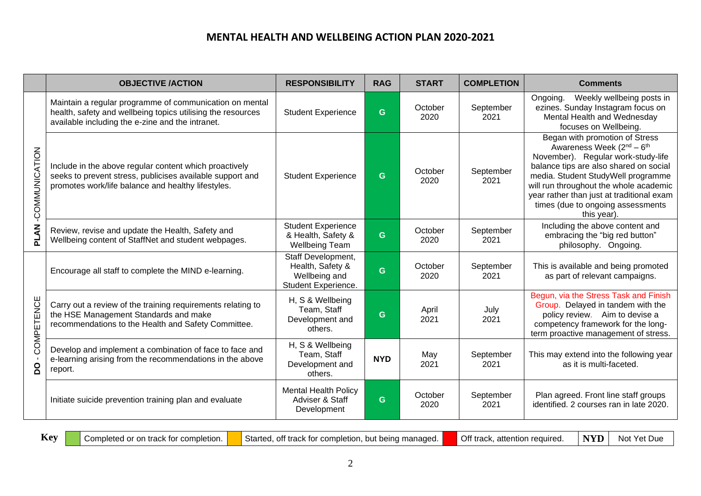|                               | <b>OBJECTIVE /ACTION</b>                                                                                                                                                   | <b>RESPONSIBILITY</b>                                                          | <b>RAG</b> | <b>START</b>    | <b>COMPLETION</b> | <b>Comments</b>                                                                                                                                                                                                                                                                                                                                      |  |
|-------------------------------|----------------------------------------------------------------------------------------------------------------------------------------------------------------------------|--------------------------------------------------------------------------------|------------|-----------------|-------------------|------------------------------------------------------------------------------------------------------------------------------------------------------------------------------------------------------------------------------------------------------------------------------------------------------------------------------------------------------|--|
| -COMMUNICATION<br><b>PLAN</b> | Maintain a regular programme of communication on mental<br>health, safety and wellbeing topics utilising the resources<br>available including the e-zine and the intranet. | <b>Student Experience</b>                                                      | G          | October<br>2020 | September<br>2021 | Weekly wellbeing posts in<br>Ongoing.<br>ezines. Sunday Instagram focus on<br>Mental Health and Wednesday<br>focuses on Wellbeing.                                                                                                                                                                                                                   |  |
|                               | Include in the above regular content which proactively<br>seeks to prevent stress, publicises available support and<br>promotes work/life balance and healthy lifestyles.  | <b>Student Experience</b>                                                      | G.         | October<br>2020 | September<br>2021 | Began with promotion of Stress<br>Awareness Week (2 <sup>nd</sup> – 6 <sup>th</sup><br>November). Regular work-study-life<br>balance tips are also shared on social<br>media. Student StudyWell programme<br>will run throughout the whole academic<br>year rather than just at traditional exam<br>times (due to ongoing assessments<br>this year). |  |
|                               | Review, revise and update the Health, Safety and<br>Wellbeing content of StaffNet and student webpages.                                                                    | <b>Student Experience</b><br>& Health, Safety &<br><b>Wellbeing Team</b>       | G          | October<br>2020 | September<br>2021 | Including the above content and<br>embracing the "big red button"<br>philosophy. Ongoing.                                                                                                                                                                                                                                                            |  |
| COMPETENCE<br><u>o</u>        | Encourage all staff to complete the MIND e-learning.                                                                                                                       | Staff Development,<br>Health, Safety &<br>Wellbeing and<br>Student Experience. | G.         | October<br>2020 | September<br>2021 | This is available and being promoted<br>as part of relevant campaigns.                                                                                                                                                                                                                                                                               |  |
|                               | Carry out a review of the training requirements relating to<br>the HSE Management Standards and make<br>recommendations to the Health and Safety Committee.                | H, S & Wellbeing<br>Team, Staff<br>Development and<br>others.                  | G          | April<br>2021   | July<br>2021      | Begun, via the Stress Task and Finish<br>Group. Delayed in tandem with the<br>policy review. Aim to devise a<br>competency framework for the long-<br>term proactive management of stress.                                                                                                                                                           |  |
|                               | Develop and implement a combination of face to face and<br>e-learning arising from the recommendations in the above<br>report.                                             | H, S & Wellbeing<br>Team, Staff<br>Development and<br>others.                  | <b>NYD</b> | May<br>2021     | September<br>2021 | This may extend into the following year<br>as it is multi-faceted.                                                                                                                                                                                                                                                                                   |  |
|                               | Initiate suicide prevention training plan and evaluate                                                                                                                     | <b>Mental Health Policy</b><br>Adviser & Staff<br>Development                  | G.         | October<br>2020 | September<br>2021 | Plan agreed. Front line staff groups<br>identified. 2 courses ran in late 2020.                                                                                                                                                                                                                                                                      |  |

**Key** Completed or on track for completion. Started, off track for completion, but being managed. Off track, attention required. NYD Not Yet Due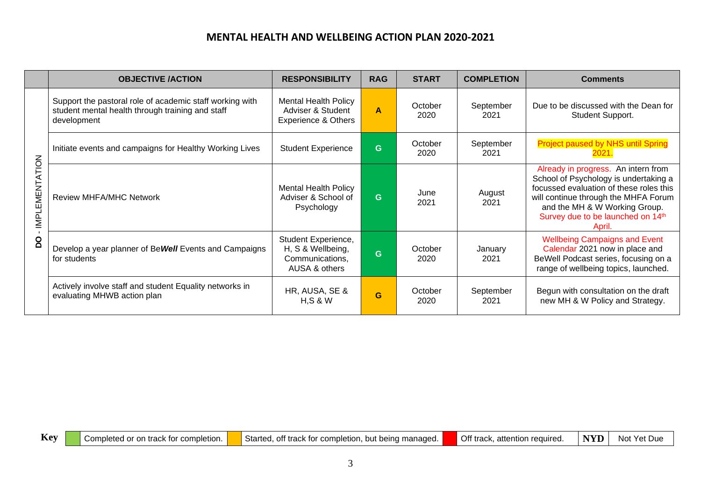|                                                    | <b>OBJECTIVE /ACTION</b>                                                                                                    | <b>RESPONSIBILITY</b>                                                              | <b>RAG</b> | <b>START</b>    | <b>COMPLETION</b>                                  | <b>Comments</b>                                                                                                                                                                                                                                 |
|----------------------------------------------------|-----------------------------------------------------------------------------------------------------------------------------|------------------------------------------------------------------------------------|------------|-----------------|----------------------------------------------------|-------------------------------------------------------------------------------------------------------------------------------------------------------------------------------------------------------------------------------------------------|
| LEMENTATION<br>$\overline{\mathsf{M}}$<br><u>o</u> | Support the pastoral role of academic staff working with<br>student mental health through training and staff<br>development | <b>Mental Health Policy</b><br>Adviser & Student<br><b>Experience &amp; Others</b> | A          | October<br>2020 | September<br>2021                                  | Due to be discussed with the Dean for<br>Student Support.                                                                                                                                                                                       |
|                                                    | Initiate events and campaigns for Healthy Working Lives                                                                     | September<br>October<br>G.<br><b>Student Experience</b><br>2020<br>2021            |            |                 | <b>Project paused by NHS until Spring</b><br>2021. |                                                                                                                                                                                                                                                 |
|                                                    | <b>Review MHFA/MHC Network</b>                                                                                              | <b>Mental Health Policy</b><br>Adviser & School of<br>Psychology                   | G.         | June<br>2021    | August<br>2021                                     | Already in progress. An intern from<br>School of Psychology is undertaking a<br>focussed evaluation of these roles this<br>will continue through the MHFA Forum<br>and the MH & W Working Group.<br>Survey due to be launched on 14th<br>April. |
|                                                    | Develop a year planner of Be Well Events and Campaigns<br>for students                                                      | Student Experience,<br>H, S & Wellbeing,<br>Communications,<br>AUSA & others       | G          | October<br>2020 | January<br>2021                                    | <b>Wellbeing Campaigns and Event</b><br>Calendar 2021 now in place and<br>BeWell Podcast series, focusing on a<br>range of wellbeing topics, launched.                                                                                          |
|                                                    | Actively involve staff and student Equality networks in<br>evaluating MHWB action plan                                      | HR, AUSA, SE &<br>H, S & W                                                         | G          | October<br>2020 | September<br>2021                                  | Begun with consultation on the draft<br>new MH & W Policy and Strategy.                                                                                                                                                                         |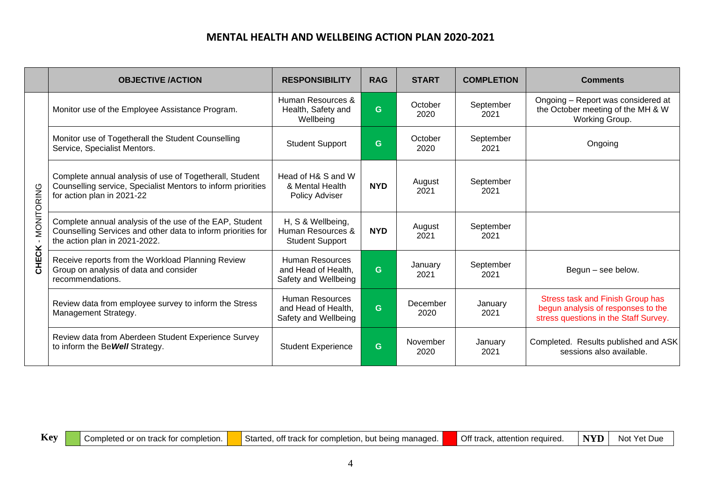|                     | <b>OBJECTIVE /ACTION</b>                                                                                                                                 | <b>RESPONSIBILITY</b>                                                 | <b>RAG</b> | <b>START</b>     | <b>COMPLETION</b> | <b>Comments</b>                                                                                                        |  |
|---------------------|----------------------------------------------------------------------------------------------------------------------------------------------------------|-----------------------------------------------------------------------|------------|------------------|-------------------|------------------------------------------------------------------------------------------------------------------------|--|
|                     | Monitor use of the Employee Assistance Program.                                                                                                          | Human Resources &<br>Health, Safety and<br>Wellbeing                  | G          | October<br>2020  | September<br>2021 | Ongoing - Report was considered at<br>the October meeting of the MH & W<br>Working Group.                              |  |
| MONITORING<br>CHECK | Monitor use of Togetherall the Student Counselling<br>Service, Specialist Mentors.                                                                       | <b>Student Support</b>                                                | G          | October<br>2020  | September<br>2021 | Ongoing                                                                                                                |  |
|                     | Complete annual analysis of use of Togetherall, Student<br>Counselling service, Specialist Mentors to inform priorities<br>for action plan in 2021-22    | Head of H& S and W<br>& Mental Health<br>Policy Adviser               | <b>NYD</b> | August<br>2021   | September<br>2021 |                                                                                                                        |  |
|                     | Complete annual analysis of the use of the EAP, Student<br>Counselling Services and other data to inform priorities for<br>the action plan in 2021-2022. | H, S & Wellbeing,<br>Human Resources &<br><b>Student Support</b>      | <b>NYD</b> | August<br>2021   | September<br>2021 |                                                                                                                        |  |
|                     | Receive reports from the Workload Planning Review<br>Group on analysis of data and consider<br>recommendations.                                          | Human Resources<br>and Head of Health,<br>Safety and Wellbeing        | G          | January<br>2021  | September<br>2021 | Begun - see below.                                                                                                     |  |
|                     | Review data from employee survey to inform the Stress<br>Management Strategy.                                                                            | <b>Human Resources</b><br>and Head of Health,<br>Safety and Wellbeing | G.         | December<br>2020 | January<br>2021   | <b>Stress task and Finish Group has</b><br>begun analysis of responses to the<br>stress questions in the Staff Survey. |  |
|                     | Review data from Aberdeen Student Experience Survey<br>to inform the Be Well Strategy.                                                                   | <b>Student Experience</b>                                             | G.         | November<br>2020 | January<br>2021   | Completed. Results published and ASK<br>sessions also available.                                                       |  |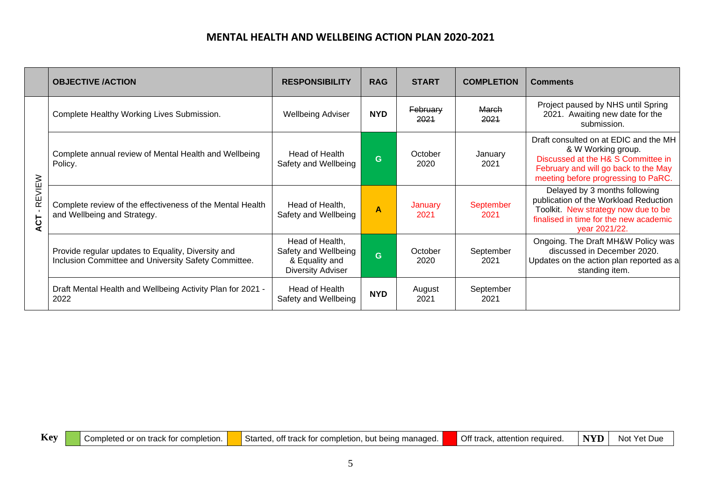|               | <b>OBJECTIVE /ACTION</b>                                                                                   | <b>RESPONSIBILITY</b>                                                                 | <b>RAG</b> | <b>START</b>     | <b>COMPLETION</b> | <b>Comments</b>                                                                                                                                                                  |
|---------------|------------------------------------------------------------------------------------------------------------|---------------------------------------------------------------------------------------|------------|------------------|-------------------|----------------------------------------------------------------------------------------------------------------------------------------------------------------------------------|
|               | Complete Healthy Working Lives Submission.                                                                 | <b>Wellbeing Adviser</b>                                                              | <b>NYD</b> | February<br>2021 | March<br>2021     | Project paused by NHS until Spring<br>2021. Awaiting new date for the<br>submission.                                                                                             |
|               | Complete annual review of Mental Health and Wellbeing<br>Policy.                                           | Head of Health<br>Safety and Wellbeing                                                | G          | October<br>2020  | January<br>2021   | Draft consulted on at EDIC and the MH<br>& W Working group.<br>Discussed at the H& S Committee in<br>February and will go back to the May<br>meeting before progressing to PaRC. |
| REVIEW<br>ACT | Complete review of the effectiveness of the Mental Health<br>and Wellbeing and Strategy.                   | Head of Health,<br>Safety and Wellbeing                                               | A          | January<br>2021  | September<br>2021 | Delayed by 3 months following<br>publication of the Workload Reduction<br>Toolkit. New strategy now due to be<br>finalised in time for the new academic<br>year 2021/22.         |
|               | Provide regular updates to Equality, Diversity and<br>Inclusion Committee and University Safety Committee. | Head of Health,<br>Safety and Wellbeing<br>& Equality and<br><b>Diversity Adviser</b> | Ġ          | October<br>2020  | September<br>2021 | Ongoing. The Draft MH&W Policy was<br>discussed in December 2020.<br>Updates on the action plan reported as a<br>standing item.                                                  |
|               | Draft Mental Health and Wellbeing Activity Plan for 2021 -<br>2022                                         | Head of Health<br>Safety and Wellbeing                                                | <b>NYD</b> | August<br>2021   | September<br>2021 |                                                                                                                                                                                  |